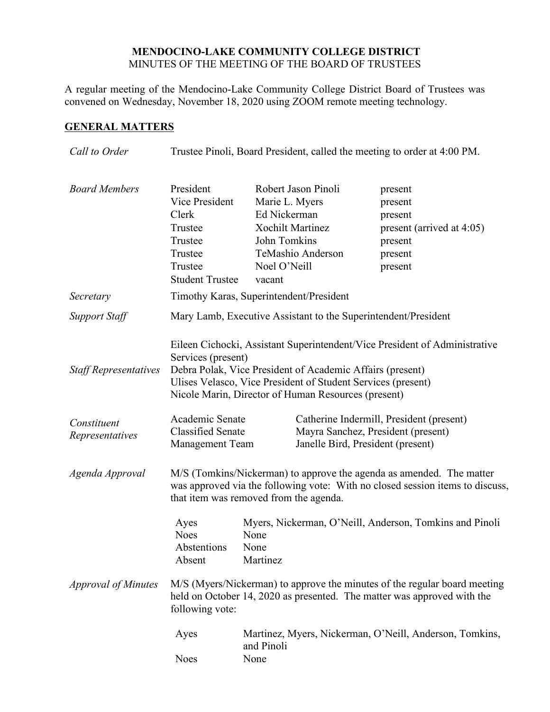## **MENDOCINO-LAKE COMMUNITY COLLEGE DISTRICT** MINUTES OF THE MEETING OF THE BOARD OF TRUSTEES

A regular meeting of the Mendocino-Lake Community College District Board of Trustees was convened on Wednesday, November 18, 2020 using ZOOM remote meeting technology.

# **GENERAL MATTERS**

| Call to Order                  | Trustee Pinoli, Board President, called the meeting to order at 4:00 PM.                                                                                                                        |                                                                                                     |                                                                                                                                                                                  |                                                                                                                                      |
|--------------------------------|-------------------------------------------------------------------------------------------------------------------------------------------------------------------------------------------------|-----------------------------------------------------------------------------------------------------|----------------------------------------------------------------------------------------------------------------------------------------------------------------------------------|--------------------------------------------------------------------------------------------------------------------------------------|
| <b>Board Members</b>           | President<br>Vice President<br>Clerk<br>Trustee<br>Trustee<br>Trustee<br>Trustee<br><b>Student Trustee</b>                                                                                      | Marie L. Myers<br>Ed Nickerman<br><b>Xochilt Martinez</b><br>John Tomkins<br>Noel O'Neill<br>vacant | Robert Jason Pinoli<br>TeMashio Anderson                                                                                                                                         | present<br>present<br>present<br>present (arrived at 4:05)<br>present<br>present<br>present                                          |
| Secretary                      | Timothy Karas, Superintendent/President                                                                                                                                                         |                                                                                                     |                                                                                                                                                                                  |                                                                                                                                      |
| <b>Support Staff</b>           | Mary Lamb, Executive Assistant to the Superintendent/President                                                                                                                                  |                                                                                                     |                                                                                                                                                                                  |                                                                                                                                      |
| <b>Staff Representatives</b>   | Services (present)                                                                                                                                                                              |                                                                                                     | Debra Polak, Vice President of Academic Affairs (present)<br>Ulises Velasco, Vice President of Student Services (present)<br>Nicole Marin, Director of Human Resources (present) | Eileen Cichocki, Assistant Superintendent/Vice President of Administrative                                                           |
| Constituent<br>Representatives | Academic Senate<br><b>Classified Senate</b><br><b>Management Team</b>                                                                                                                           |                                                                                                     | Janelle Bird, President (present)                                                                                                                                                | Catherine Indermill, President (present)<br>Mayra Sanchez, President (present)                                                       |
| Agenda Approval                | M/S (Tomkins/Nickerman) to approve the agenda as amended. The matter<br>was approved via the following vote: With no closed session items to discuss,<br>that item was removed from the agenda. |                                                                                                     |                                                                                                                                                                                  |                                                                                                                                      |
| <b>Approval of Minutes</b>     | Ayes<br><b>Noes</b><br>Abstentions<br>Absent                                                                                                                                                    | None<br>None<br>Martinez                                                                            |                                                                                                                                                                                  | Myers, Nickerman, O'Neill, Anderson, Tomkins and Pinoli<br>M/S (Myers/Nickerman) to approve the minutes of the regular board meeting |
|                                | held on October 14, 2020 as presented. The matter was approved with the<br>following vote:                                                                                                      |                                                                                                     |                                                                                                                                                                                  |                                                                                                                                      |
|                                | Ayes<br><b>Noes</b>                                                                                                                                                                             | Martinez, Myers, Nickerman, O'Neill, Anderson, Tomkins,<br>and Pinoli<br>None                       |                                                                                                                                                                                  |                                                                                                                                      |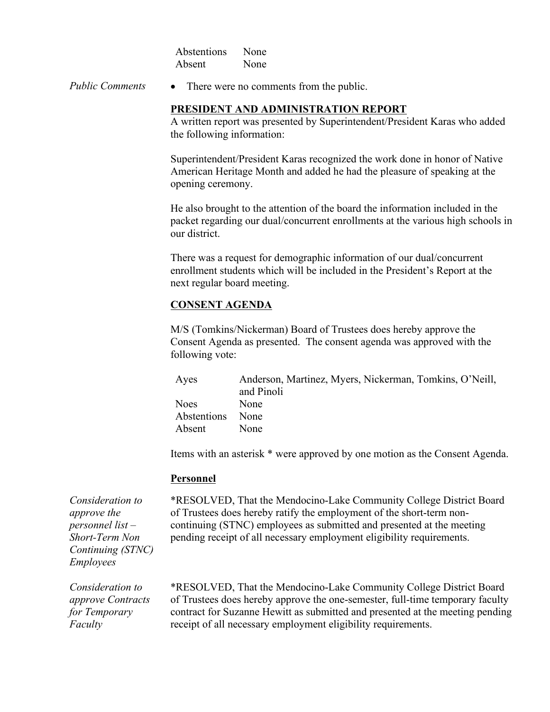| Abstentions | None |
|-------------|------|
| Absent      | None |

*Public Comments* • There were no comments from the public.

#### **PRESIDENT AND ADMINISTRATION REPORT**

A written report was presented by Superintendent/President Karas who added the following information:

Superintendent/President Karas recognized the work done in honor of Native American Heritage Month and added he had the pleasure of speaking at the opening ceremony.

He also brought to the attention of the board the information included in the packet regarding our dual/concurrent enrollments at the various high schools in our district.

There was a request for demographic information of our dual/concurrent enrollment students which will be included in the President's Report at the next regular board meeting.

## **CONSENT AGENDA**

M/S (Tomkins/Nickerman) Board of Trustees does hereby approve the Consent Agenda as presented. The consent agenda was approved with the following vote:

| Ayes             | Anderson, Martinez, Myers, Nickerman, Tomkins, O'Neill, |
|------------------|---------------------------------------------------------|
|                  | and Pinoli                                              |
| Noes.            | None                                                    |
| Abstentions None |                                                         |
| Absent           | <b>None</b>                                             |

Items with an asterisk \* were approved by one motion as the Consent Agenda.

#### **Personnel**

*Consideration to approve the personnel list – Short-Term Non Continuing (STNC) Employees*

\*RESOLVED, That the Mendocino-Lake Community College District Board of Trustees does hereby ratify the employment of the short-term noncontinuing (STNC) employees as submitted and presented at the meeting pending receipt of all necessary employment eligibility requirements.

*Consideration to approve Contracts for Temporary Faculty*

\*RESOLVED, That the Mendocino-Lake Community College District Board of Trustees does hereby approve the one-semester, full-time temporary faculty contract for Suzanne Hewitt as submitted and presented at the meeting pending receipt of all necessary employment eligibility requirements.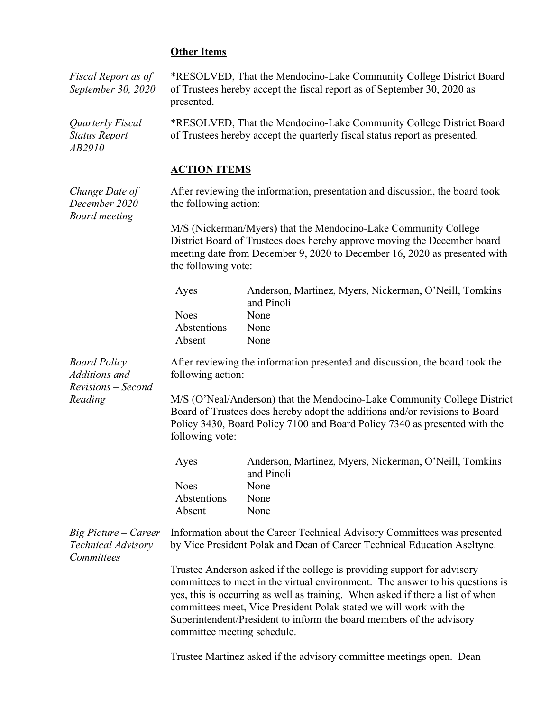### **Other Items**

*Fiscal Report as of September 30, 2020*

*Quarterly Fiscal Status Report – AB2910*

*Change Date of December 2020 Board meeting*

\*RESOLVED, That the Mendocino-Lake Community College District Board of Trustees hereby accept the fiscal report as of September 30, 2020 as presented.

\*RESOLVED, That the Mendocino-Lake Community College District Board of Trustees hereby accept the quarterly fiscal status report as presented.

### **ACTION ITEMS**

After reviewing the information, presentation and discussion, the board took the following action:

M/S (Nickerman/Myers) that the Mendocino-Lake Community College District Board of Trustees does hereby approve moving the December board meeting date from December 9, 2020 to December 16, 2020 as presented with the following vote:

| Ayes        | Anderson, Martinez, Myers, Nickerman, O'Neill, Tomkins |
|-------------|--------------------------------------------------------|
|             | and Pinoli                                             |
| <b>Noes</b> | None                                                   |
| Abstentions | None                                                   |
| Absent      | None                                                   |

After reviewing the information presented and discussion, the board took the following action:

*Additions and Revisions – Second Reading*

*Board Policy* 

M/S (O'Neal/Anderson) that the Mendocino-Lake Community College District Board of Trustees does hereby adopt the additions and/or revisions to Board Policy 3430, Board Policy 7100 and Board Policy 7340 as presented with the following vote:

| Ayes        | Anderson, Martinez, Myers, Nickerman, O'Neill, Tomkins |
|-------------|--------------------------------------------------------|
|             | and Pinoli                                             |
| <b>Noes</b> | <b>None</b>                                            |
| Abstentions | None                                                   |
| Absent      | None                                                   |

*Big Picture – Career Technical Advisory Committees* Information about the Career Technical Advisory Committees was presented by Vice President Polak and Dean of Career Technical Education Aseltyne.

> Trustee Anderson asked if the college is providing support for advisory committees to meet in the virtual environment. The answer to his questions is yes, this is occurring as well as training. When asked if there a list of when committees meet, Vice President Polak stated we will work with the Superintendent/President to inform the board members of the advisory committee meeting schedule.

Trustee Martinez asked if the advisory committee meetings open. Dean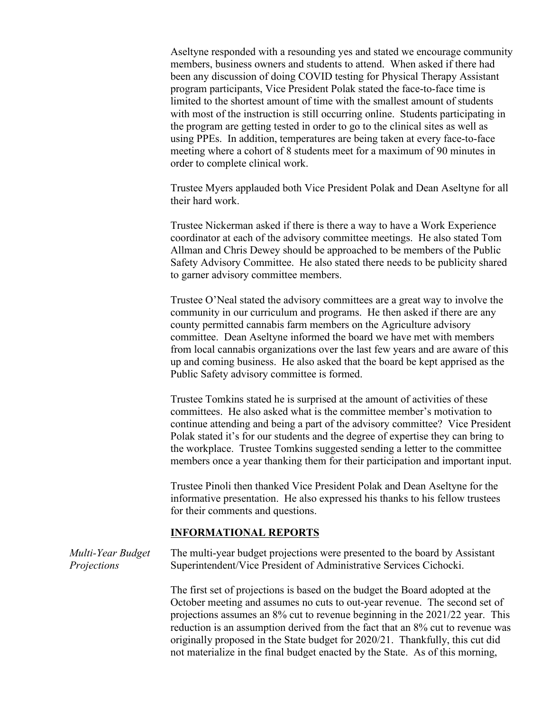Aseltyne responded with a resounding yes and stated we encourage community members, business owners and students to attend. When asked if there had been any discussion of doing COVID testing for Physical Therapy Assistant program participants, Vice President Polak stated the face-to-face time is limited to the shortest amount of time with the smallest amount of students with most of the instruction is still occurring online. Students participating in the program are getting tested in order to go to the clinical sites as well as using PPEs. In addition, temperatures are being taken at every face-to-face meeting where a cohort of 8 students meet for a maximum of 90 minutes in order to complete clinical work.

Trustee Myers applauded both Vice President Polak and Dean Aseltyne for all their hard work.

Trustee Nickerman asked if there is there a way to have a Work Experience coordinator at each of the advisory committee meetings. He also stated Tom Allman and Chris Dewey should be approached to be members of the Public Safety Advisory Committee. He also stated there needs to be publicity shared to garner advisory committee members.

Trustee O'Neal stated the advisory committees are a great way to involve the community in our curriculum and programs. He then asked if there are any county permitted cannabis farm members on the Agriculture advisory committee. Dean Aseltyne informed the board we have met with members from local cannabis organizations over the last few years and are aware of this up and coming business. He also asked that the board be kept apprised as the Public Safety advisory committee is formed.

Trustee Tomkins stated he is surprised at the amount of activities of these committees. He also asked what is the committee member's motivation to continue attending and being a part of the advisory committee? Vice President Polak stated it's for our students and the degree of expertise they can bring to the workplace. Trustee Tomkins suggested sending a letter to the committee members once a year thanking them for their participation and important input.

Trustee Pinoli then thanked Vice President Polak and Dean Aseltyne for the informative presentation. He also expressed his thanks to his fellow trustees for their comments and questions.

## **INFORMATIONAL REPORTS**

| Multi-Year Budget | The multi-year budget projections were presented to the board by Assistant                                                                                                                                                                                                                                                                                                                                                                                                                          |
|-------------------|-----------------------------------------------------------------------------------------------------------------------------------------------------------------------------------------------------------------------------------------------------------------------------------------------------------------------------------------------------------------------------------------------------------------------------------------------------------------------------------------------------|
| Projections       | Superintendent/Vice President of Administrative Services Cichocki.                                                                                                                                                                                                                                                                                                                                                                                                                                  |
|                   | The first set of projections is based on the budget the Board adopted at the<br>October meeting and assumes no cuts to out-year revenue. The second set of<br>projections assumes an $8\%$ cut to revenue beginning in the $2021/22$ year. This<br>reduction is an assumption derived from the fact that an 8% cut to revenue was<br>originally proposed in the State budget for 2020/21. Thankfully, this cut did<br>not materialize in the final budget enacted by the State. As of this morning, |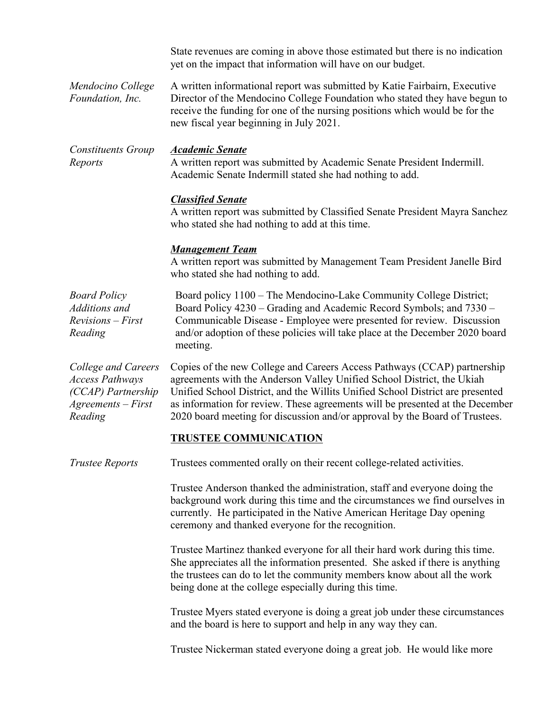State revenues are coming in above those estimated but there is no indication yet on the impact that information will have on our budget.

*Mendocino College Foundation, Inc.* A written informational report was submitted by Katie Fairbairn, Executive Director of the Mendocino College Foundation who stated they have begun to receive the funding for one of the nursing positions which would be for the new fiscal year beginning in July 2021.

*Constituents Group Reports Academic Senate* A written report was submitted by Academic Senate President Indermill. Academic Senate Indermill stated she had nothing to add.

#### *Classified Senate*

A written report was submitted by Classified Senate President Mayra Sanchez who stated she had nothing to add at this time.

#### *Management Team*

A written report was submitted by Management Team President Janelle Bird who stated she had nothing to add.

| <b>Board Policy</b>                 | Board policy 1100 – The Mendocino-Lake Community College District;                                                                                                |
|-------------------------------------|-------------------------------------------------------------------------------------------------------------------------------------------------------------------|
| Additions and                       | Board Policy 4230 – Grading and Academic Record Symbols; and 7330 –                                                                                               |
| <i>Revisions – First</i><br>Reading | Communicable Disease - Employee were presented for review. Discussion<br>and/or adoption of these policies will take place at the December 2020 board<br>meeting. |

*College and Careers Access Pathways (CCAP) Partnership Agreements – First Reading* 

Copies of the new College and Careers Access Pathways (CCAP) partnership agreements with the Anderson Valley Unified School District, the Ukiah Unified School District, and the Willits Unified School District are presented as information for review. These agreements will be presented at the December 2020 board meeting for discussion and/or approval by the Board of Trustees.

#### **TRUSTEE COMMUNICATION**

*Trustee Reports* Trustees commented orally on their recent college-related activities.

Trustee Anderson thanked the administration, staff and everyone doing the background work during this time and the circumstances we find ourselves in currently. He participated in the Native American Heritage Day opening ceremony and thanked everyone for the recognition.

Trustee Martinez thanked everyone for all their hard work during this time. She appreciates all the information presented. She asked if there is anything the trustees can do to let the community members know about all the work being done at the college especially during this time.

Trustee Myers stated everyone is doing a great job under these circumstances and the board is here to support and help in any way they can.

Trustee Nickerman stated everyone doing a great job. He would like more